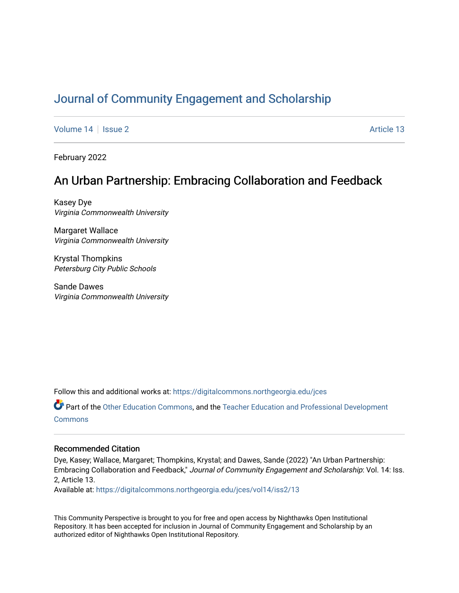# [Journal of Community Engagement and Scholarship](https://digitalcommons.northgeorgia.edu/jces)

[Volume 14](https://digitalcommons.northgeorgia.edu/jces/vol14) | [Issue 2](https://digitalcommons.northgeorgia.edu/jces/vol14/iss2) Article 13

February 2022

# An Urban Partnership: Embracing Collaboration and Feedback

Kasey Dye Virginia Commonwealth University

Margaret Wallace Virginia Commonwealth University

Krystal Thompkins Petersburg City Public Schools

Sande Dawes Virginia Commonwealth University

Follow this and additional works at: [https://digitalcommons.northgeorgia.edu/jces](https://digitalcommons.northgeorgia.edu/jces?utm_source=digitalcommons.northgeorgia.edu%2Fjces%2Fvol14%2Fiss2%2F13&utm_medium=PDF&utm_campaign=PDFCoverPages)

Part of the [Other Education Commons,](https://network.bepress.com/hgg/discipline/811?utm_source=digitalcommons.northgeorgia.edu%2Fjces%2Fvol14%2Fiss2%2F13&utm_medium=PDF&utm_campaign=PDFCoverPages) and the [Teacher Education and Professional Development](https://network.bepress.com/hgg/discipline/803?utm_source=digitalcommons.northgeorgia.edu%2Fjces%2Fvol14%2Fiss2%2F13&utm_medium=PDF&utm_campaign=PDFCoverPages)  **[Commons](https://network.bepress.com/hgg/discipline/803?utm_source=digitalcommons.northgeorgia.edu%2Fjces%2Fvol14%2Fiss2%2F13&utm_medium=PDF&utm_campaign=PDFCoverPages)** 

# Recommended Citation

Dye, Kasey; Wallace, Margaret; Thompkins, Krystal; and Dawes, Sande (2022) "An Urban Partnership: Embracing Collaboration and Feedback," Journal of Community Engagement and Scholarship: Vol. 14: Iss. 2, Article 13.

Available at: [https://digitalcommons.northgeorgia.edu/jces/vol14/iss2/13](https://digitalcommons.northgeorgia.edu/jces/vol14/iss2/13?utm_source=digitalcommons.northgeorgia.edu%2Fjces%2Fvol14%2Fiss2%2F13&utm_medium=PDF&utm_campaign=PDFCoverPages) 

This Community Perspective is brought to you for free and open access by Nighthawks Open Institutional Repository. It has been accepted for inclusion in Journal of Community Engagement and Scholarship by an authorized editor of Nighthawks Open Institutional Repository.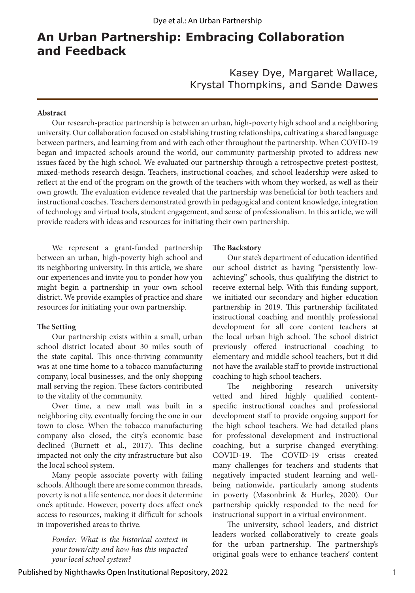# **An Urban Partnership: Embracing Collaboration and Feedback**

Kasey Dye, Margaret Wallace, Krystal Thompkins, and Sande Dawes

#### **Abstract**

Our research-practice partnership is between an urban, high-poverty high school and a neighboring university. Our collaboration focused on establishing trusting relationships, cultivating a shared language between partners, and learning from and with each other throughout the partnership. When COVID-19 began and impacted schools around the world, our community partnership pivoted to address new issues faced by the high school. We evaluated our partnership through a retrospective pretest-posttest, mixed-methods research design. Teachers, instructional coaches, and school leadership were asked to reflect at the end of the program on the growth of the teachers with whom they worked, as well as their own growth. The evaluation evidence revealed that the partnership was beneficial for both teachers and instructional coaches. Teachers demonstrated growth in pedagogical and content knowledge, integration of technology and virtual tools, student engagement, and sense of professionalism. In this article, we will provide readers with ideas and resources for initiating their own partnership.

We represent a grant-funded partnership between an urban, high-poverty high school and its neighboring university. In this article, we share our experiences and invite you to ponder how you might begin a partnership in your own school district. We provide examples of practice and share resources for initiating your own partnership.

## **The Setting**

Our partnership exists within a small, urban school district located about 30 miles south of the state capital. This once-thriving community was at one time home to a tobacco manufacturing company, local businesses, and the only shopping mall serving the region. These factors contributed to the vitality of the community.

Over time, a new mall was built in a neighboring city, eventually forcing the one in our town to close. When the tobacco manufacturing company also closed, the city's economic base declined (Burnett et al., 2017). This decline impacted not only the city infrastructure but also the local school system.

Many people associate poverty with failing schools. Although there are some common threads, poverty is not a life sentence, nor does it determine one's aptitude. However, poverty does affect one's access to resources, making it difficult for schools in impoverished areas to thrive.

*Ponder: What is the historical context in your town/city and how has this impacted your local school system?* 

#### **The Backstory**

Our state's department of education identified our school district as having "persistently lowachieving" schools, thus qualifying the district to receive external help. With this funding support, we initiated our secondary and higher education partnership in 2019. This partnership facilitated instructional coaching and monthly professional development for all core content teachers at the local urban high school. The school district previously offered instructional coaching to elementary and middle school teachers, but it did not have the available staff to provide instructional coaching to high school teachers.

The neighboring research university vetted and hired highly qualified contentspecific instructional coaches and professional development staff to provide ongoing support for the high school teachers. We had detailed plans for professional development and instructional coaching, but a surprise changed everything: COVID-19. The COVID-19 crisis created many challenges for teachers and students that negatively impacted student learning and wellbeing nationwide, particularly among students in poverty (Masonbrink & Hurley, 2020). Our partnership quickly responded to the need for instructional support in a virtual environment.

The university, school leaders, and district leaders worked collaboratively to create goals for the urban partnership. The partnership's original goals were to enhance teachers' content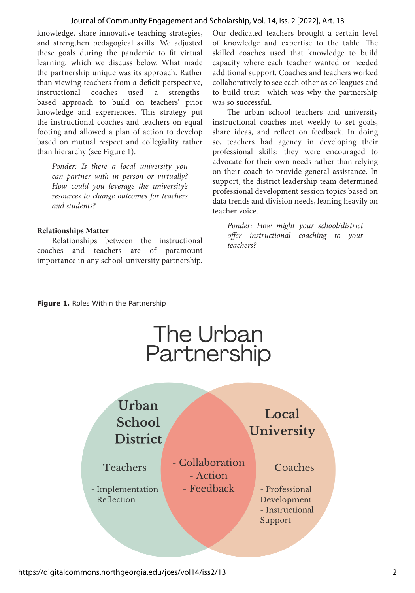#### Journal of Community Engagement and Scholarship, Vol. 14, Iss. 2 [2022], Art. 13

knowledge, share innovative teaching strategies, and strengthen pedagogical skills. We adjusted these goals during the pandemic to fit virtual learning, which we discuss below. What made the partnership unique was its approach. Rather than viewing teachers from a deficit perspective, instructional coaches used a strengthsbased approach to build on teachers' prior knowledge and experiences. This strategy put the instructional coaches and teachers on equal footing and allowed a plan of action to develop based on mutual respect and collegiality rather than hierarchy (see Figure 1).

*Ponder: Is there a local university you can partner with in person or virtually? How could you leverage the university's resources to change outcomes for teachers and students?*

#### **Relationships Matter**

Relationships between the instructional coaches and teachers are of paramount importance in any school-university partnership. Our dedicated teachers brought a certain level of knowledge and expertise to the table. The skilled coaches used that knowledge to build capacity where each teacher wanted or needed additional support. Coaches and teachers worked collaboratively to see each other as colleagues and to build trust—which was why the partnership was so successful.

The urban school teachers and university instructional coaches met weekly to set goals, share ideas, and reflect on feedback. In doing so, teachers had agency in developing their professional skills; they were encouraged to advocate for their own needs rather than relying on their coach to provide general assistance. In support, the district leadership team determined professional development session topics based on data trends and division needs, leaning heavily on teacher voice.

*Ponder: How might your school/district offer instructional coaching to your teachers?*

#### **Figure 1.** Roles Within the Partnership

# The Urban Partnership

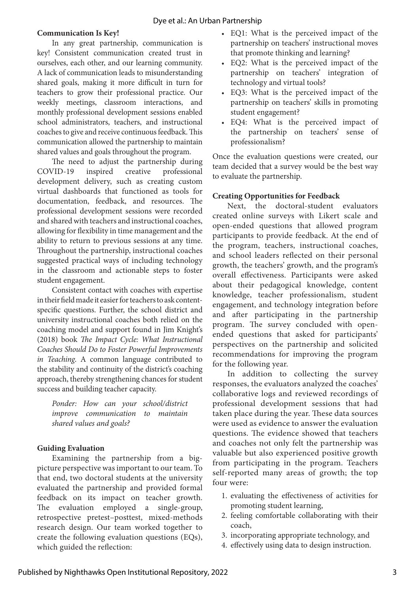# **Communication Is Key!**

In any great partnership, communication is key! Consistent communication created trust in ourselves, each other, and our learning community. A lack of communication leads to misunderstanding shared goals, making it more difficult in turn for teachers to grow their professional practice. Our weekly meetings, classroom interactions, and monthly professional development sessions enabled school administrators, teachers, and instructional coaches to give and receive continuous feedback. This communication allowed the partnership to maintain shared values and goals throughout the program.

The need to adjust the partnership during COVID-19 inspired creative professional development delivery, such as creating custom virtual dashboards that functioned as tools for documentation, feedback, and resources. The professional development sessions were recorded and shared with teachers and instructional coaches, allowing for flexibility in time management and the ability to return to previous sessions at any time. Throughout the partnership, instructional coaches suggested practical ways of including technology in the classroom and actionable steps to foster student engagement.

Consistent contact with coaches with expertise in their field made it easier for teachers to ask contentspecific questions. Further, the school district and university instructional coaches both relied on the coaching model and support found in Jim Knight's (2018) book *The Impact Cycle: What Instructional Coaches Should Do to Foster Powerful Improvements in Teaching*. A common language contributed to the stability and continuity of the district's coaching approach, thereby strengthening chances for student success and building teacher capacity.

*Ponder: How can your school/district improve communication to maintain shared values and goals?* 

## **Guiding Evaluation**

Examining the partnership from a bigpicture perspective was important to our team. To that end, two doctoral students at the university evaluated the partnership and provided formal feedback on its impact on teacher growth. The evaluation employed a single-group, retrospective pretest–posttest, mixed-methods research design. Our team worked together to create the following evaluation questions (EQs), which guided the reflection:

- EQ1: What is the perceived impact of the partnership on teachers' instructional moves that promote thinking and learning?
- EQ2: What is the perceived impact of the partnership on teachers' integration of technology and virtual tools?
- EQ3: What is the perceived impact of the partnership on teachers' skills in promoting student engagement?
- EQ4: What is the perceived impact of the partnership on teachers' sense of professionalism?

Once the evaluation questions were created, our team decided that a survey would be the best way to evaluate the partnership.

## **Creating Opportunities for Feedback**

Next, the doctoral-student evaluators created online surveys with Likert scale and open-ended questions that allowed program participants to provide feedback. At the end of the program, teachers, instructional coaches, and school leaders reflected on their personal growth, the teachers' growth, and the program's overall effectiveness. Participants were asked about their pedagogical knowledge, content knowledge, teacher professionalism, student engagement, and technology integration before and after participating in the partnership program. The survey concluded with openended questions that asked for participants' perspectives on the partnership and solicited recommendations for improving the program for the following year.

In addition to collecting the survey responses, the evaluators analyzed the coaches' collaborative logs and reviewed recordings of professional development sessions that had taken place during the year. These data sources were used as evidence to answer the evaluation questions. The evidence showed that teachers and coaches not only felt the partnership was valuable but also experienced positive growth from participating in the program. Teachers self-reported many areas of growth; the top four were:

- 1. evaluating the effectiveness of activities for promoting student learning,
- 2. feeling comfortable collaborating with their coach,
- 3. incorporating appropriate technology, and
- 4. effectively using data to design instruction.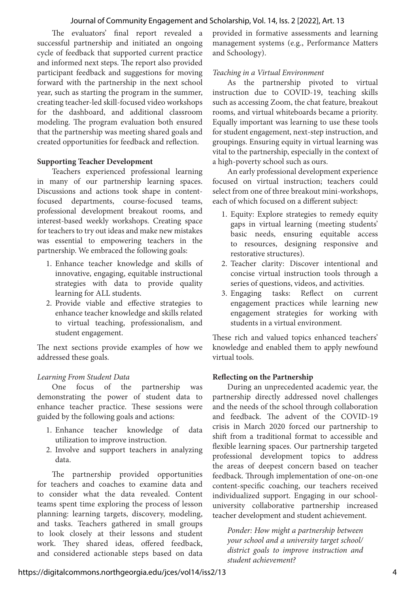## Journal of Community Engagement and Scholarship, Vol. 14, Iss. 2 [2022], Art. 13

The evaluators' final report revealed a successful partnership and initiated an ongoing cycle of feedback that supported current practice and informed next steps. The report also provided participant feedback and suggestions for moving forward with the partnership in the next school year, such as starting the program in the summer, creating teacher-led skill-focused video workshops for the dashboard, and additional classroom modeling. The program evaluation both ensured that the partnership was meeting shared goals and created opportunities for feedback and reflection.

# **Supporting Teacher Development**

Teachers experienced professional learning in many of our partnership learning spaces. Discussions and actions took shape in contentfocused departments, course-focused teams, professional development breakout rooms, and interest-based weekly workshops. Creating space for teachers to try out ideas and make new mistakes was essential to empowering teachers in the partnership. We embraced the following goals:

- 1. Enhance teacher knowledge and skills of innovative, engaging, equitable instructional strategies with data to provide quality learning for ALL students.
- 2. Provide viable and effective strategies to enhance teacher knowledge and skills related to virtual teaching, professionalism, and student engagement.

The next sections provide examples of how we addressed these goals.

# *Learning From Student Data*

One focus of the partnership was demonstrating the power of student data to enhance teacher practice. These sessions were guided by the following goals and actions:

- 1. Enhance teacher knowledge of data utilization to improve instruction.
- 2. Involve and support teachers in analyzing data.

The partnership provided opportunities for teachers and coaches to examine data and to consider what the data revealed. Content teams spent time exploring the process of lesson planning: learning targets, discovery, modeling, and tasks. Teachers gathered in small groups to look closely at their lessons and student work. They shared ideas, offered feedback, and considered actionable steps based on data provided in formative assessments and learning management systems (e.g., Performance Matters and Schoology).

## *Teaching in a Virtual Environment*

As the partnership pivoted to virtual instruction due to COVID-19, teaching skills such as accessing Zoom, the chat feature, breakout rooms, and virtual whiteboards became a priority. Equally important was learning to use these tools for student engagement, next-step instruction, and groupings. Ensuring equity in virtual learning was vital to the partnership, especially in the context of a high-poverty school such as ours.

An early professional development experience focused on virtual instruction; teachers could select from one of three breakout mini-workshops, each of which focused on a different subject:

- 1. Equity: Explore strategies to remedy equity gaps in virtual learning (meeting students' basic needs, ensuring equitable access to resources, designing responsive and restorative structures).
- 2. Teacher clarity: Discover intentional and concise virtual instruction tools through a series of questions, videos, and activities.
- 3. Engaging tasks: Reflect on current engagement practices while learning new engagement strategies for working with students in a virtual environment.

These rich and valued topics enhanced teachers' knowledge and enabled them to apply newfound virtual tools.

# **Reflecting on the Partnership**

During an unprecedented academic year, the partnership directly addressed novel challenges and the needs of the school through collaboration and feedback. The advent of the COVID-19 crisis in March 2020 forced our partnership to shift from a traditional format to accessible and flexible learning spaces. Our partnership targeted professional development topics to address the areas of deepest concern based on teacher feedback. Through implementation of one-on-one content-specific coaching, our teachers received individualized support. Engaging in our schooluniversity collaborative partnership increased teacher development and student achievement.

*Ponder: How might a partnership between your school and a university target school/ district goals to improve instruction and student achievement?*